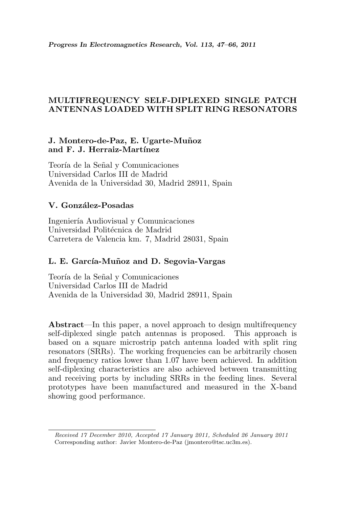# MULTIFREQUENCY SELF-DIPLEXED SINGLE PATCH ANTENNAS LOADED WITH SPLIT RING RESONATORS

# J. Montero-de-Paz, E. Ugarte-Muñoz and F. J. Herraiz-Martínez

Teoría de la Señal y Comunicaciones Universidad Carlos III de Madrid Avenida de la Universidad 30, Madrid 28911, Spain

## V. González-Posadas

Ingeniería Audiovisual y Comunicaciones Universidad Politécnica de Madrid Carretera de Valencia km. 7, Madrid 28031, Spain

## L. E. García-Muñoz and D. Segovia-Vargas

Teoría de la Señal y Comunicaciones Universidad Carlos III de Madrid Avenida de la Universidad 30, Madrid 28911, Spain

Abstract—In this paper, a novel approach to design multifrequency self-diplexed single patch antennas is proposed. This approach is based on a square microstrip patch antenna loaded with split ring resonators (SRRs). The working frequencies can be arbitrarily chosen and frequency ratios lower than 1.07 have been achieved. In addition self-diplexing characteristics are also achieved between transmitting and receiving ports by including SRRs in the feeding lines. Several prototypes have been manufactured and measured in the X-band showing good performance.

Received 17 December 2010, Accepted 17 January 2011, Scheduled 26 January 2011 Corresponding author: Javier Montero-de-Paz (jmontero@tsc.uc3m.es).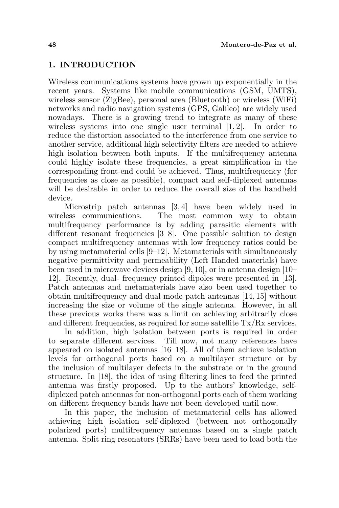### 1. INTRODUCTION

Wireless communications systems have grown up exponentially in the recent years. Systems like mobile communications (GSM, UMTS), wireless sensor (ZigBee), personal area (Bluetooth) or wireless (WiFi) networks and radio navigation systems (GPS, Galileo) are widely used nowadays. There is a growing trend to integrate as many of these wireless systems into one single user terminal [1, 2]. In order to reduce the distortion associated to the interference from one service to another service, additional high selectivity filters are needed to achieve high isolation between both inputs. If the multifrequency antenna could highly isolate these frequencies, a great simplification in the corresponding front-end could be achieved. Thus, multifrequency (for frequencies as close as possible), compact and self-diplexed antennas will be desirable in order to reduce the overall size of the handheld device.

Microstrip patch antennas [3, 4] have been widely used in wireless communications. The most common way to obtain multifrequency performance is by adding parasitic elements with different resonant frequencies [3–8]. One possible solution to design compact multifrequency antennas with low frequency ratios could be by using metamaterial cells [9–12]. Metamaterials with simultaneously negative permittivity and permeability (Left Handed materials) have been used in microwave devices design [9, 10], or in antenna design [10– 12]. Recently, dual- frequency printed dipoles were presented in [13]. Patch antennas and metamaterials have also been used together to obtain multifrequency and dual-mode patch antennas [14, 15] without increasing the size or volume of the single antenna. However, in all these previous works there was a limit on achieving arbitrarily close and different frequencies, as required for some satellite Tx/Rx services.

In addition, high isolation between ports is required in order to separate different services. Till now, not many references have appeared on isolated antennas [16–18]. All of them achieve isolation levels for orthogonal ports based on a multilayer structure or by the inclusion of multilayer defects in the substrate or in the ground structure. In [18], the idea of using filtering lines to feed the printed antenna was firstly proposed. Up to the authors' knowledge, selfdiplexed patch antennas for non-orthogonal ports each of them working on different frequency bands have not been developed until now.

In this paper, the inclusion of metamaterial cells has allowed achieving high isolation self-diplexed (between not orthogonally polarized ports) multifrequency antennas based on a single patch antenna. Split ring resonators (SRRs) have been used to load both the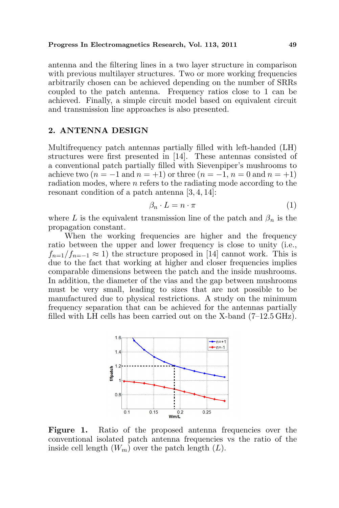antenna and the filtering lines in a two layer structure in comparison with previous multilayer structures. Two or more working frequencies arbitrarily chosen can be achieved depending on the number of SRRs coupled to the patch antenna. Frequency ratios close to 1 can be achieved. Finally, a simple circuit model based on equivalent circuit and transmission line approaches is also presented.

## 2. ANTENNA DESIGN

Multifrequency patch antennas partially filled with left-handed (LH) structures were first presented in [14]. These antennas consisted of a conventional patch partially filled with Sievenpiper's mushrooms to achieve two  $(n = -1 \text{ and } n = +1)$  or three  $(n = -1, n = 0 \text{ and } n = +1)$ radiation modes, where n refers to the radiating mode according to the resonant condition of a patch antenna [3, 4, 14]:

$$
\beta_n \cdot L = n \cdot \pi \tag{1}
$$

where L is the equivalent transmission line of the patch and  $\beta_n$  is the propagation constant.

When the working frequencies are higher and the frequency ratio between the upper and lower frequency is close to unity (i.e.,  $f_{n=1}/f_{n=-1} \approx 1$ ) the structure proposed in [14] cannot work. This is due to the fact that working at higher and closer frequencies implies comparable dimensions between the patch and the inside mushrooms. In addition, the diameter of the vias and the gap between mushrooms must be very small, leading to sizes that are not possible to be manufactured due to physical restrictions. A study on the minimum frequency separation that can be achieved for the antennas partially filled with LH cells has been carried out on the X-band (7–12.5 GHz).



Figure 1. Ratio of the proposed antenna frequencies over the conventional isolated patch antenna frequencies vs the ratio of the inside cell length  $(W_m)$  over the patch length  $(L)$ .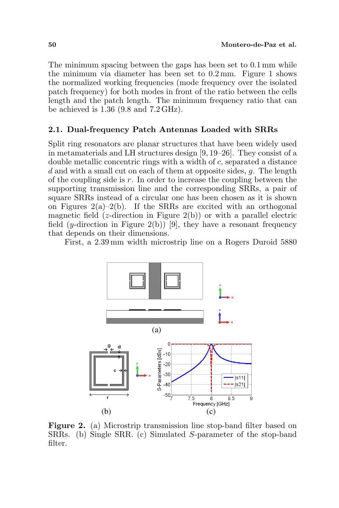The minimum spacing between the gaps has been set to 0.1 mm while the minimum via diameter has been set to 0.2 mm. Figure 1 shows the normalized working frequencies (mode frequency over the isolated patch frequency) for both modes in front of the ratio between the cells length and the patch length. The minimum frequency ratio that can be achieved is 1.36 (9.8 and 7.2 GHz).

### 2.1. Dual-frequency Patch Antennas Loaded with SRRs

Split ring resonators are planar structures that have been widely used in metamaterials and LH structures design [9, 19–26]. They consist of a double metallic concentric rings with a width of c, separated a distance  $d$  and with a small cut on each of them at opposite sides,  $q$ . The length of the coupling side is  $r$ . In order to increase the coupling between the supporting transmission line and the corresponding SRRs, a pair of square SRRs instead of a circular one has been chosen as it is shown on Figures  $2(a)-2(b)$ . If the SRRs are excited with an orthogonal magnetic field  $(z$ -direction in Figure 2(b)) or with a parallel electric field  $(y\text{-direction in Figure 2(b)})$  [9], they have a resonant frequency that depends on their dimensions.

First, a 2.39 mm width microstrip line on a Rogers Duroid 5880



Figure 2. (a) Microstrip transmission line stop-band filter based on SRRs. (b) Single SRR. (c) Simulated S-parameter of the stop-band filter.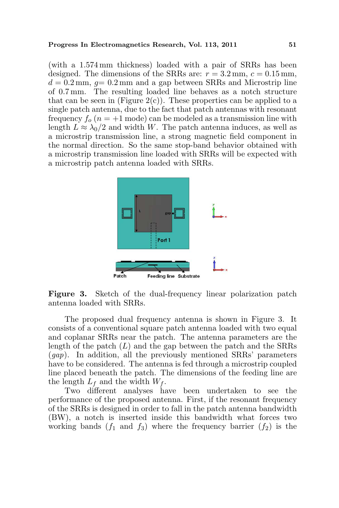(with a 1.574 mm thickness) loaded with a pair of SRRs has been designed. The dimensions of the SRRs are:  $r = 3.2$  mm,  $c = 0.15$  mm,  $d = 0.2$  mm,  $q = 0.2$  mm and a gap between SRRs and Microstrip line of 0.7 mm. The resulting loaded line behaves as a notch structure that can be seen in (Figure  $2(c)$ ). These properties can be applied to a single patch antenna, due to the fact that patch antennas with resonant frequency  $f_o$  ( $n = +1$  mode) can be modeled as a transmission line with length  $L \approx \lambda_0/2$  and width W. The patch antenna induces, as well as a microstrip transmission line, a strong magnetic field component in the normal direction. So the same stop-band behavior obtained with a microstrip transmission line loaded with SRRs will be expected with a microstrip patch antenna loaded with SRRs.



Figure 3. Sketch of the dual-frequency linear polarization patch antenna loaded with SRRs.

The proposed dual frequency antenna is shown in Figure 3. It consists of a conventional square patch antenna loaded with two equal and coplanar SRRs near the patch. The antenna parameters are the length of the patch  $(L)$  and the gap between the patch and the SRRs  $(qap)$ . In addition, all the previously mentioned SRRs' parameters have to be considered. The antenna is fed through a microstrip coupled line placed beneath the patch. The dimensions of the feeding line are the length  $L_f$  and the width  $W_f$ .

Two different analyses have been undertaken to see the performance of the proposed antenna. First, if the resonant frequency of the SRRs is designed in order to fall in the patch antenna bandwidth (BW), a notch is inserted inside this bandwidth what forces two working bands  $(f_1 \text{ and } f_3)$  where the frequency barrier  $(f_2)$  is the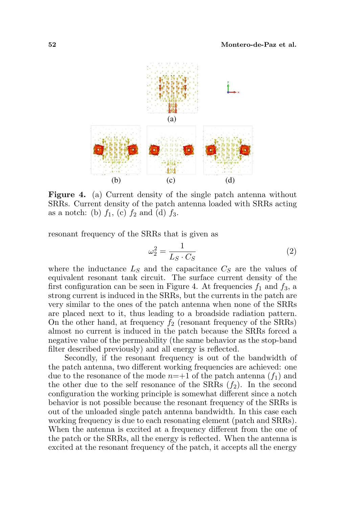

Figure 4. (a) Current density of the single patch antenna without SRRs. Current density of the patch antenna loaded with SRRs acting as a notch: (b)  $f_1$ , (c)  $f_2$  and (d)  $f_3$ .

resonant frequency of the SRRs that is given as

$$
\omega_2^2 = \frac{1}{L_S \cdot C_S} \tag{2}
$$

where the inductance  $L<sub>S</sub>$  and the capacitance  $C<sub>S</sub>$  are the values of equivalent resonant tank circuit. The surface current density of the first configuration can be seen in Figure 4. At frequencies  $f_1$  and  $f_3$ , a strong current is induced in the SRRs, but the currents in the patch are very similar to the ones of the patch antenna when none of the SRRs are placed next to it, thus leading to a broadside radiation pattern. On the other hand, at frequency  $f_2$  (resonant frequency of the SRRs) almost no current is induced in the patch because the SRRs forced a negative value of the permeability (the same behavior as the stop-band filter described previously) and all energy is reflected.

Secondly, if the resonant frequency is out of the bandwidth of the patch antenna, two different working frequencies are achieved: one due to the resonance of the mode  $n=+1$  of the patch antenna  $(f_1)$  and the other due to the self resonance of the SRRs  $(f_2)$ . In the second configuration the working principle is somewhat different since a notch behavior is not possible because the resonant frequency of the SRRs is out of the unloaded single patch antenna bandwidth. In this case each working frequency is due to each resonating element (patch and SRRs). When the antenna is excited at a frequency different from the one of the patch or the SRRs, all the energy is reflected. When the antenna is excited at the resonant frequency of the patch, it accepts all the energy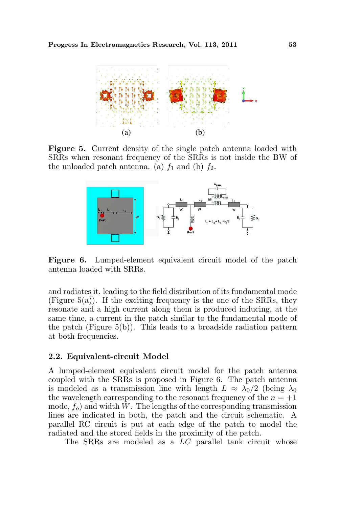

Figure 5. Current density of the single patch antenna loaded with SRRs when resonant frequency of the SRRs is not inside the BW of the unloaded patch antenna. (a)  $f_1$  and (b)  $f_2$ .



Figure 6. Lumped-element equivalent circuit model of the patch antenna loaded with SRRs.

and radiates it, leading to the field distribution of its fundamental mode (Figure  $5(a)$ ). If the exciting frequency is the one of the SRRs, they resonate and a high current along them is produced inducing, at the same time, a current in the patch similar to the fundamental mode of the patch (Figure 5(b)). This leads to a broadside radiation pattern at both frequencies.

#### 2.2. Equivalent-circuit Model

A lumped-element equivalent circuit model for the patch antenna coupled with the SRRs is proposed in Figure 6. The patch antenna is modeled as a transmission line with length  $L \approx \lambda_0/2$  (being  $\lambda_0$ ) the wavelength corresponding to the resonant frequency of the  $n = +1$ mode,  $f<sub>o</sub>$ ) and width W. The lengths of the corresponding transmission lines are indicated in both, the patch and the circuit schematic. A parallel RC circuit is put at each edge of the patch to model the radiated and the stored fields in the proximity of the patch.

The SRRs are modeled as a LC parallel tank circuit whose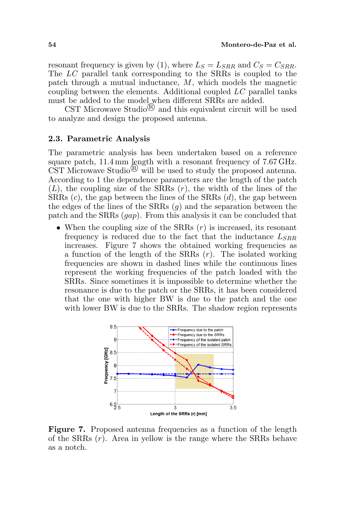resonant frequency is given by (1), where  $L_S = L_{SRR}$  and  $C_S = C_{SRR}$ . The LC parallel tank corresponding to the SRRs is coupled to the patch through a mutual inductance,  $M$ , which models the magnetic coupling between the elements. Additional coupled LC parallel tanks must be added to the model when different SRRs are added.

CST Microwave Studio<sup>®</sup> and this equivalent circuit will be used to analyze and design the proposed antenna.

#### 2.3. Parametric Analysis

The parametric analysis has been undertaken based on a reference square patch, 11.4 mm length with a resonant frequency of 7.67 GHz. CST Microwave Studio<sup> $\circledR$ </sup> will be used to study the proposed antenna. According to 1 the dependence parameters are the length of the patch  $(L)$ , the coupling size of the SRRs  $(r)$ , the width of the lines of the  $SRRs$  (c), the gap between the lines of the  $SRRs$  (d), the gap between the edges of the lines of the SRRs  $(q)$  and the separation between the patch and the SRRs  $(qap)$ . From this analysis it can be concluded that

• When the coupling size of the SRRs  $(r)$  is increased, its resonant frequency is reduced due to the fact that the inductance  $L_{SRR}$ increases. Figure 7 shows the obtained working frequencies as a function of the length of the SRRs  $(r)$ . The isolated working frequencies are shown in dashed lines while the continuous lines represent the working frequencies of the patch loaded with the SRRs. Since sometimes it is impossible to determine whether the resonance is due to the patch or the SRRs, it has been considered that the one with higher BW is due to the patch and the one with lower BW is due to the SRRs. The shadow region represents



Figure 7. Proposed antenna frequencies as a function of the length of the SRRs (r). Area in yellow is the range where the SRRs behave as a notch.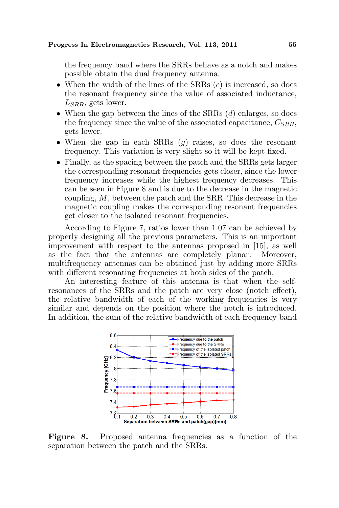the frequency band where the SRRs behave as a notch and makes possible obtain the dual frequency antenna.

- When the width of the lines of the  $SRRs$   $(c)$  is increased, so does the resonant frequency since the value of associated inductance,  $L_{SRR}$ , gets lower.
- When the gap between the lines of the  $SRRs$  (d) enlarges, so does the frequency since the value of the associated capacitance,  $C_{SRR}$ , gets lower.
- When the gap in each SRRs  $(q)$  raises, so does the resonant frequency. This variation is very slight so it will be kept fixed.
- Finally, as the spacing between the patch and the SRRs gets larger the corresponding resonant frequencies gets closer, since the lower frequency increases while the highest frequency decreases. This can be seen in Figure 8 and is due to the decrease in the magnetic coupling, M, between the patch and the SRR. This decrease in the magnetic coupling makes the corresponding resonant frequencies get closer to the isolated resonant frequencies.

According to Figure 7, ratios lower than 1.07 can be achieved by properly designing all the previous parameters. This is an important improvement with respect to the antennas proposed in [15], as well as the fact that the antennas are completely planar. Moreover, multifrequency antennas can be obtained just by adding more SRRs with different resonating frequencies at both sides of the patch.

An interesting feature of this antenna is that when the selfresonances of the SRRs and the patch are very close (notch effect), the relative bandwidth of each of the working frequencies is very similar and depends on the position where the notch is introduced. In addition, the sum of the relative bandwidth of each frequency band



Figure 8. Proposed antenna frequencies as a function of the separation between the patch and the SRRs.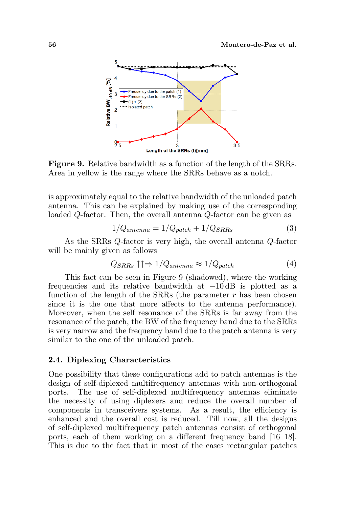

Figure 9. Relative bandwidth as a function of the length of the SRRs. Area in yellow is the range where the SRRs behave as a notch.

is approximately equal to the relative bandwidth of the unloaded patch antenna. This can be explained by making use of the corresponding loaded Q-factor. Then, the overall antenna Q-factor can be given as

$$
1/Q_{antenna} = 1/Q_{patch} + 1/Q_{SRRs}
$$
\n(3)

As the SRRs Q-factor is very high, the overall antenna Q-factor will be mainly given as follows

$$
Q_{SRRs} \uparrow \uparrow \Rightarrow 1/Q_{antenna} \approx 1/Q_{patch} \tag{4}
$$

This fact can be seen in Figure 9 (shadowed), where the working frequencies and its relative bandwidth at −10 dB is plotted as a function of the length of the SRRs (the parameter  $r$  has been chosen since it is the one that more affects to the antenna performance). Moreover, when the self resonance of the SRRs is far away from the resonance of the patch, the BW of the frequency band due to the SRRs is very narrow and the frequency band due to the patch antenna is very similar to the one of the unloaded patch.

#### 2.4. Diplexing Characteristics

One possibility that these configurations add to patch antennas is the design of self-diplexed multifrequency antennas with non-orthogonal ports. The use of self-diplexed multifrequency antennas eliminate the necessity of using diplexers and reduce the overall number of components in transceivers systems. As a result, the efficiency is enhanced and the overall cost is reduced. Till now, all the designs of self-diplexed multifrequency patch antennas consist of orthogonal ports, each of them working on a different frequency band [16–18]. This is due to the fact that in most of the cases rectangular patches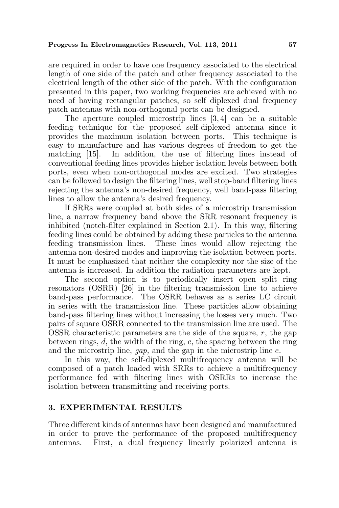### Progress In Electromagnetics Research, Vol. 113, 2011 57

are required in order to have one frequency associated to the electrical length of one side of the patch and other frequency associated to the electrical length of the other side of the patch. With the configuration presented in this paper, two working frequencies are achieved with no need of having rectangular patches, so self diplexed dual frequency patch antennas with non-orthogonal ports can be designed.

The aperture coupled microstrip lines [3, 4] can be a suitable feeding technique for the proposed self-diplexed antenna since it provides the maximum isolation between ports. This technique is easy to manufacture and has various degrees of freedom to get the matching [15]. In addition, the use of filtering lines instead of conventional feeding lines provides higher isolation levels between both ports, even when non-orthogonal modes are excited. Two strategies can be followed to design the filtering lines, well stop-band filtering lines rejecting the antenna's non-desired frequency, well band-pass filtering lines to allow the antenna's desired frequency.

If SRRs were coupled at both sides of a microstrip transmission line, a narrow frequency band above the SRR resonant frequency is inhibited (notch-filter explained in Section 2.1). In this way, filtering feeding lines could be obtained by adding these particles to the antenna feeding transmission lines. These lines would allow rejecting the antenna non-desired modes and improving the isolation between ports. It must be emphasized that neither the complexity nor the size of the antenna is increased. In addition the radiation parameters are kept.

The second option is to periodically insert open split ring resonators (OSRR) [26] in the filtering transmission line to achieve band-pass performance. The OSRR behaves as a series LC circuit in series with the transmission line. These particles allow obtaining band-pass filtering lines without increasing the losses very much. Two pairs of square OSRR connected to the transmission line are used. The OSSR characteristic parameters are the side of the square,  $r$ , the gap between rings,  $d$ , the width of the ring,  $c$ , the spacing between the ring and the microstrip line, gap, and the gap in the microstrip line e.

In this way, the self-diplexed multifrequency antenna will be composed of a patch loaded with SRRs to achieve a multifrequency performance fed with filtering lines with OSRRs to increase the isolation between transmitting and receiving ports.

## 3. EXPERIMENTAL RESULTS

Three different kinds of antennas have been designed and manufactured in order to prove the performance of the proposed multifrequency antennas. First, a dual frequency linearly polarized antenna is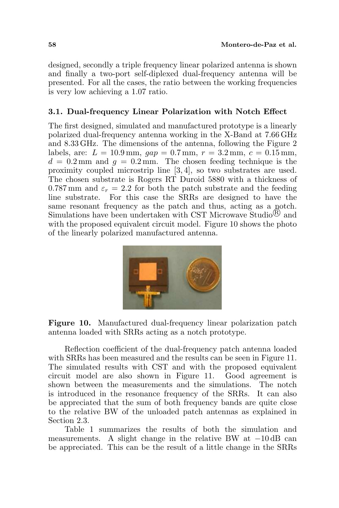designed, secondly a triple frequency linear polarized antenna is shown and finally a two-port self-diplexed dual-frequency antenna will be presented. For all the cases, the ratio between the working frequencies is very low achieving a 1.07 ratio.

# 3.1. Dual-frequency Linear Polarization with Notch Effect

The first designed, simulated and manufactured prototype is a linearly polarized dual-frequency antenna working in the X-Band at 7.66 GHz and 8.33 GHz. The dimensions of the antenna, following the Figure 2 labels, are:  $L = 10.9 \,\text{mm}$ ,  $qap = 0.7 \,\text{mm}$ ,  $r = 3.2 \,\text{mm}$ ,  $c = 0.15 \,\text{mm}$ ,  $d = 0.2$  mm and  $q = 0.2$  mm. The chosen feeding technique is the proximity coupled microstrip line [3, 4], so two substrates are used. The chosen substrate is Rogers RT Duroid 5880 with a thickness of 0.787 mm and  $\varepsilon_r = 2.2$  for both the patch substrate and the feeding line substrate. For this case the SRRs are designed to have the same resonant frequency as the patch and thus, acting as a notch. Simulations have been undertaken with CST Microwave Studio<sup> $\mathbb{R}$ </sup> and with the proposed equivalent circuit model. Figure 10 shows the photo of the linearly polarized manufactured antenna.



Figure 10. Manufactured dual-frequency linear polarization patch antenna loaded with SRRs acting as a notch prototype.

Reflection coefficient of the dual-frequency patch antenna loaded with SRRs has been measured and the results can be seen in Figure 11. The simulated results with CST and with the proposed equivalent circuit model are also shown in Figure 11. Good agreement is shown between the measurements and the simulations. The notch is introduced in the resonance frequency of the SRRs. It can also be appreciated that the sum of both frequency bands are quite close to the relative BW of the unloaded patch antennas as explained in Section 2.3.

Table 1 summarizes the results of both the simulation and measurements. A slight change in the relative BW at −10 dB can be appreciated. This can be the result of a little change in the SRRs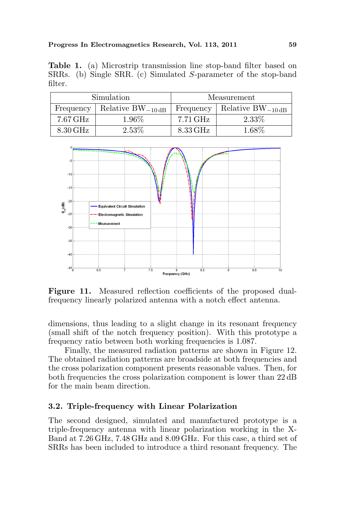Table 1. (a) Microstrip transmission line stop-band filter based on SRRs. (b) Single SRR. (c) Simulated S-parameter of the stop-band filter.

| Simulation |                       | Measurement |                       |
|------------|-----------------------|-------------|-----------------------|
| Frequency  | Relative $BW_{-10dB}$ | Frequency   | Relative $BW_{-10dB}$ |
| 7.67 GHz   | 1.96%                 | 7.71 GHz    | 2.33%                 |
| 8.30 GHz   | 2.53%                 | 8.33 GHz    | 1.68%                 |



Figure 11. Measured reflection coefficients of the proposed dualfrequency linearly polarized antenna with a notch effect antenna.

dimensions, thus leading to a slight change in its resonant frequency (small shift of the notch frequency position). With this prototype a frequency ratio between both working frequencies is 1.087.

Finally, the measured radiation patterns are shown in Figure 12. The obtained radiation patterns are broadside at both frequencies and the cross polarization component presents reasonable values. Then, for both frequencies the cross polarization component is lower than 22 dB for the main beam direction.

## 3.2. Triple-frequency with Linear Polarization

The second designed, simulated and manufactured prototype is a triple-frequency antenna with linear polarization working in the X-Band at 7.26 GHz, 7.48 GHz and 8.09 GHz. For this case, a third set of SRRs has been included to introduce a third resonant frequency. The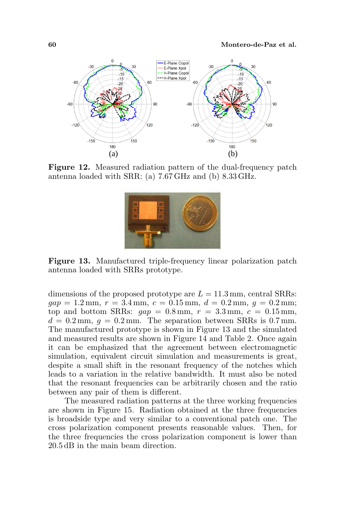

Figure 12. Measured radiation pattern of the dual-frequency patch antenna loaded with SRR: (a) 7.67 GHz and (b) 8.33 GHz.



Figure 13. Manufactured triple-frequency linear polarization patch antenna loaded with SRRs prototype.

dimensions of the proposed prototype are  $L = 11.3$  mm, central SRRs:  $gap = 1.2 \text{ mm}, r = 3.4 \text{ mm}, c = 0.15 \text{ mm}, d = 0.2 \text{ mm}, q = 0.2 \text{ mm};$ top and bottom SRRs:  $gap = 0.8$  mm,  $r = 3.3$  mm,  $c = 0.15$  mm,  $d = 0.2$  mm,  $q = 0.2$  mm. The separation between SRRs is 0.7 mm. The manufactured prototype is shown in Figure 13 and the simulated and measured results are shown in Figure 14 and Table 2. Once again it can be emphasized that the agreement between electromagnetic simulation, equivalent circuit simulation and measurements is great, despite a small shift in the resonant frequency of the notches which leads to a variation in the relative bandwidth. It must also be noted that the resonant frequencies can be arbitrarily chosen and the ratio between any pair of them is different.

The measured radiation patterns at the three working frequencies are shown in Figure 15. Radiation obtained at the three frequencies is broadside type and very similar to a conventional patch one. The cross polarization component presents reasonable values. Then, for the three frequencies the cross polarization component is lower than 20.5 dB in the main beam direction.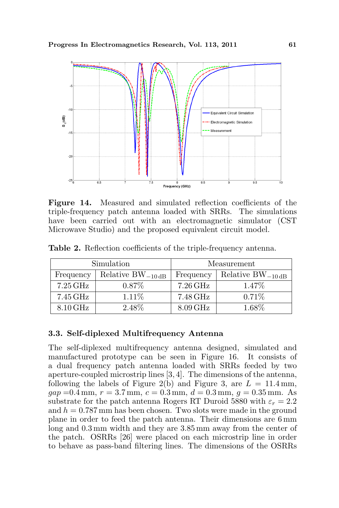

Figure 14. Measured and simulated reflection coefficients of the triple-frequency patch antenna loaded with SRRs. The simulations have been carried out with an electromagnetic simulator (CST) Microwave Studio) and the proposed equivalent circuit model.

| Simulation           |                       | Measurement          |                       |
|----------------------|-----------------------|----------------------|-----------------------|
| Frequency            | Relative $BW_{-10dB}$ | Frequency            | Relative $BW_{-10dB}$ |
| $7.25\,\mathrm{GHz}$ | $0.87\%$              | $7.26\,\mathrm{GHz}$ | 1.47%                 |
| $7.45\,\mathrm{GHz}$ | 1.11\%                | 7.48 GHz             | $0.71\%$              |
| 8.10 GHz             | 2.48%                 | $8.09\,\mathrm{GHz}$ | 1.68%                 |

Table 2. Reflection coefficients of the triple-frequency antenna.

## 3.3. Self-diplexed Multifrequency Antenna

The self-diplexed multifrequency antenna designed, simulated and manufactured prototype can be seen in Figure 16. It consists of a dual frequency patch antenna loaded with SRRs feeded by two aperture-coupled microstrip lines [3, 4]. The dimensions of the antenna, following the labels of Figure 2(b) and Figure 3, are  $L = 11.4$  mm,  $gap =0.4 \text{ mm}, r = 3.7 \text{ mm}, c = 0.3 \text{ mm}, d = 0.3 \text{ mm}, g = 0.35 \text{ mm}.$  As substrate for the patch antenna Rogers RT Duroid 5880 with  $\varepsilon_r = 2.2$ and  $h = 0.787$  mm has been chosen. Two slots were made in the ground plane in order to feed the patch antenna. Their dimensions are 6 mm long and 0.3 mm width and they are 3.85 mm away from the center of the patch. OSRRs [26] were placed on each microstrip line in order to behave as pass-band filtering lines. The dimensions of the OSRRs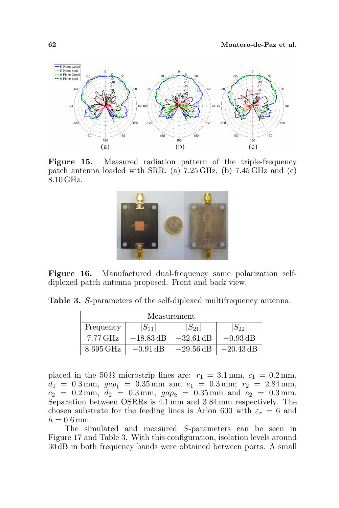

Figure 15. Measured radiation pattern of the triple-frequency patch antenna loaded with SRR: (a) 7.25 GHz, (b) 7.45 GHz and (c) 8.10 GHz.



Figure 16. Manufactured dual-frequency same polarization selfdiplexed patch antenna proposed. Front and back view.

Table 3. S-parameters of the self-diplexed multifrequency antenna.

| Measurement          |                       |             |                        |  |  |  |
|----------------------|-----------------------|-------------|------------------------|--|--|--|
| Frequency            | $ S_{11} $            | $ S_{21} $  | $\left  S_{22}\right $ |  |  |  |
| $7.77\,\mathrm{GHz}$ | $-18.83\,\mathrm{dB}$ | $-32.61$ dB | $-0.93$ dB             |  |  |  |
| 8.695 GHz            | $-0.91$ dB            | $-29.56$ dB | $-20.43\,\mathrm{dB}$  |  |  |  |

placed in the  $50 \Omega$  microstrip lines are:  $r_1 = 3.1$  mm,  $c_1 = 0.2$  mm,  $d_1 = 0.3$  mm,  $gap_1 = 0.35$  mm and  $e_1 = 0.3$  mm;  $r_2 = 2.84$  mm,  $c_2 = 0.2$  mm,  $d_2 = 0.3$  mm,  $gap_2 = 0.35$  mm and  $e_2 = 0.3$  mm. Separation between OSRRs is 4.1 mm and 3.84 mm respectively. The chosen substrate for the feeding lines is Arlon 600 with  $\varepsilon_r = 6$  and  $h = 0.6$  mm.

The simulated and measured S-parameters can be seen in Figure 17 and Table 3. With this configuration, isolation levels around 30 dB in both frequency bands were obtained between ports. A small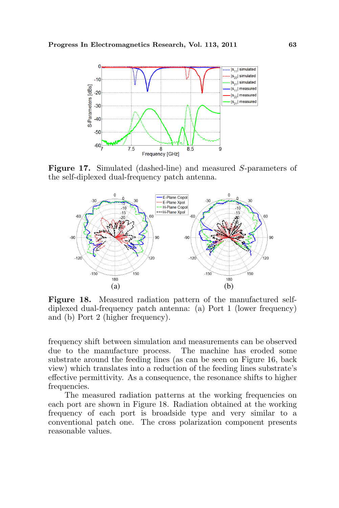

Figure 17. Simulated (dashed-line) and measured S-parameters of the self-diplexed dual-frequency patch antenna.



Figure 18. Measured radiation pattern of the manufactured selfdiplexed dual-frequency patch antenna: (a) Port 1 (lower frequency) and (b) Port 2 (higher frequency).

frequency shift between simulation and measurements can be observed due to the manufacture process. The machine has eroded some substrate around the feeding lines (as can be seen on Figure 16, back view) which translates into a reduction of the feeding lines substrate's effective permittivity. As a consequence, the resonance shifts to higher frequencies.

The measured radiation patterns at the working frequencies on each port are shown in Figure 18. Radiation obtained at the working frequency of each port is broadside type and very similar to a conventional patch one. The cross polarization component presents reasonable values.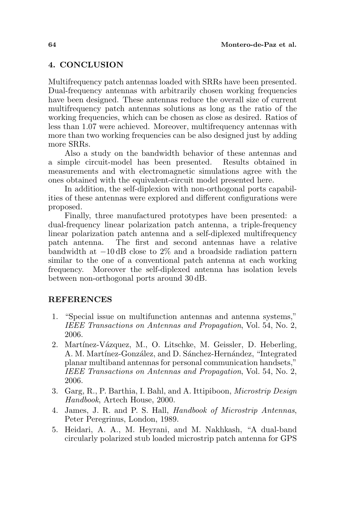# 4. CONCLUSION

Multifrequency patch antennas loaded with SRRs have been presented. Dual-frequency antennas with arbitrarily chosen working frequencies have been designed. These antennas reduce the overall size of current multifrequency patch antennas solutions as long as the ratio of the working frequencies, which can be chosen as close as desired. Ratios of less than 1.07 were achieved. Moreover, multifrequency antennas with more than two working frequencies can be also designed just by adding more SRRs.

Also a study on the bandwidth behavior of these antennas and a simple circuit-model has been presented. Results obtained in measurements and with electromagnetic simulations agree with the ones obtained with the equivalent-circuit model presented here.

In addition, the self-diplexion with non-orthogonal ports capabilities of these antennas were explored and different configurations were proposed.

Finally, three manufactured prototypes have been presented: a dual-frequency linear polarization patch antenna, a triple-frequency linear polarization patch antenna and a self-diplexed multifrequency patch antenna. The first and second antennas have a relative bandwidth at −10 dB close to 2% and a broadside radiation pattern similar to the one of a conventional patch antenna at each working frequency. Moreover the self-diplexed antenna has isolation levels between non-orthogonal ports around 30 dB.

## REFERENCES

- 1. "Special issue on multifunction antennas and antenna systems," IEEE Transactions on Antennas and Propagation, Vol. 54, No. 2, 2006.
- 2. Martínez-Vázquez, M., O. Litschke, M. Geissler, D. Heberling, A. M. Martínez-González, and D. Sánchez-Hernández, "Integrated planar multiband antennas for personal communication handsets," IEEE Transactions on Antennas and Propagation, Vol. 54, No. 2, 2006.
- 3. Garg, R., P. Barthia, I. Bahl, and A. Ittipiboon, Microstrip Design Handbook, Artech House, 2000.
- 4. James, J. R. and P. S. Hall, Handbook of Microstrip Antennas, Peter Peregrinus, London, 1989.
- 5. Heidari, A. A., M. Heyrani, and M. Nakhkash, "A dual-band circularly polarized stub loaded microstrip patch antenna for GPS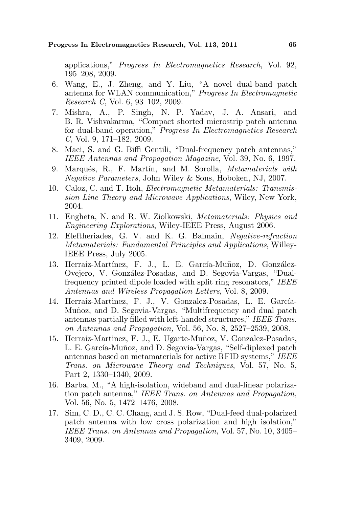applications," Progress In Electromagnetics Research, Vol. 92, 195–208, 2009.

- 6. Wang, E., J. Zheng, and Y. Liu, "A novel dual-band patch antenna for WLAN communication," Progress In Electromagnetic Research C, Vol. 6, 93–102, 2009.
- 7. Mishra, A., P. Singh, N. P. Yadav, J. A. Ansari, and B. R. Vishvakarma, "Compact shorted microstrip patch antenna for dual-band operation," Progress In Electromagnetics Research C, Vol. 9, 171–182, 2009.
- 8. Maci, S. and G. Biffi Gentili, "Dual-frequency patch antennas," IEEE Antennas and Propagation Magazine, Vol. 39, No. 6, 1997.
- 9. Marqués, R., F. Martín, and M. Sorolla, *Metamaterials with* Negative Parameters, John Wiley & Sons, Hoboken, NJ, 2007.
- 10. Caloz, C. and T. Itoh, Electromagnetic Metamaterials: Transmission Line Theory and Microwave Applications, Wiley, New York, 2004.
- 11. Engheta, N. and R. W. Ziolkowski, Metamaterials: Physics and Engineering Explorations, Wiley-IEEE Press, August 2006.
- 12. Eleftheriades, G. V. and K. G. Balmain, Negative-refraction Metamaterials: Fundamental Principles and Applications, Willey-IEEE Press, July 2005.
- 13. Herraiz-Martínez, F. J., L. E. García-Muñoz, D. González-Ovejero, V. González-Posadas, and D. Segovia-Vargas, "Dualfrequency printed dipole loaded with split ring resonators," IEEE Antennas and Wireless Propagation Letters, Vol. 8, 2009.
- 14. Herraiz-Martinez, F. J., V. Gonzalez-Posadas, L. E. García-Muñoz, and D. Segovia-Vargas, "Multifrequency and dual patch antennas partially filled with left-handed structures," IEEE Trans. on Antennas and Propagation, Vol. 56, No. 8, 2527–2539, 2008.
- 15. Herraiz-Martinez, F. J., E. Ugarte-Mu˜noz, V. Gonzalez-Posadas, L. E. García-Muñoz, and D. Segovia-Vargas, "Self-diplexed patch" antennas based on metamaterials for active RFID systems," IEEE Trans. on Microwave Theory and Techniques, Vol. 57, No. 5, Part 2, 1330–1340, 2009.
- 16. Barba, M., "A high-isolation, wideband and dual-linear polarization patch antenna," IEEE Trans. on Antennas and Propagation, Vol. 56, No. 5, 1472–1476, 2008.
- 17. Sim, C. D., C. C. Chang, and J. S. Row, "Dual-feed dual-polarized patch antenna with low cross polarization and high isolation," IEEE Trans. on Antennas and Propagation, Vol. 57, No. 10, 3405– 3409, 2009.